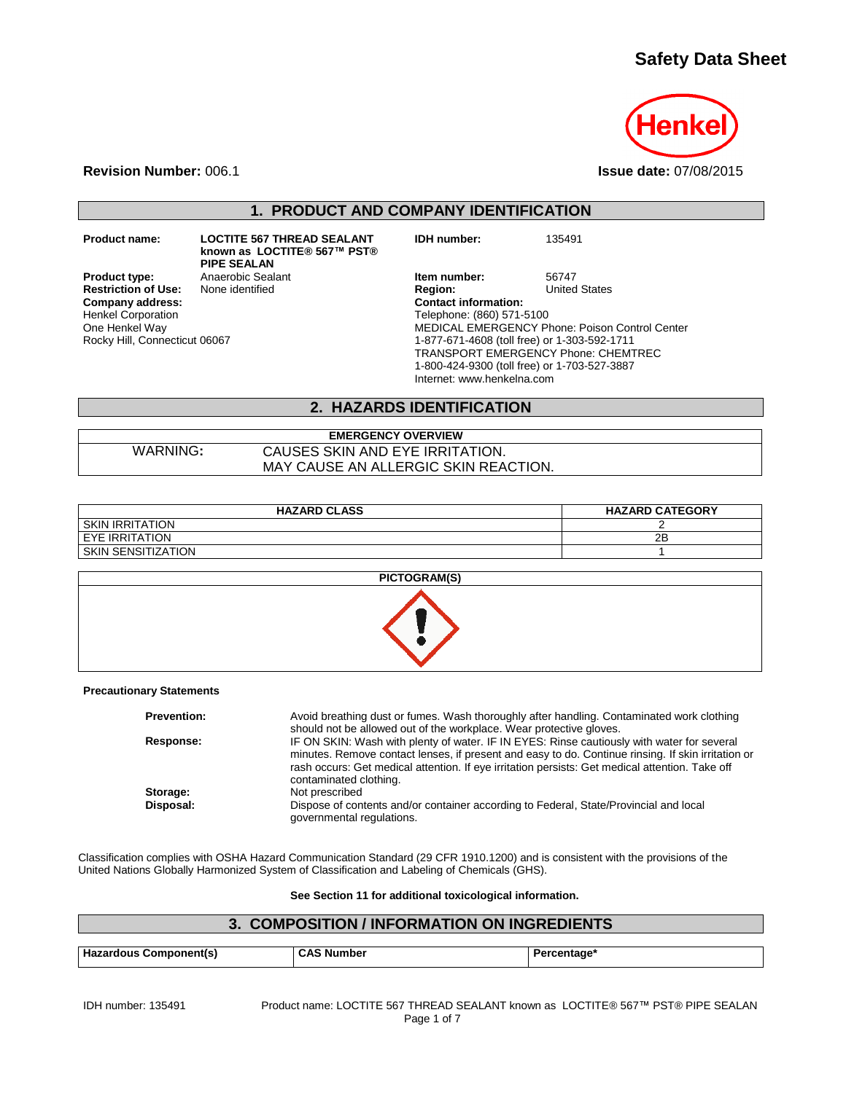# **Safety Data Sheet**



**Revision Number:** 006.1 **Issue date:** 07/08/2015

**1. PRODUCT AND COMPANY IDENTIFICATION**

**Restriction of Use:**<br>Company address: Henkel Corporation One Henkel Way Rocky Hill, Connecticut 06067

**Product name: LOCTITE 567 THREAD SEALANT known as LOCTITE® 567™ PST® PIPE SEALAN**

**Product type:** Anaerobic Sealant **Item number:** 56747<br> **Restriction of Use:** None identified **Integral Product Region:** United States **Company address: Contact information:** Telephone: (860) 571-5100 MEDICAL EMERGENCY Phone: Poison Control Center 1-877-671-4608 (toll free) or 1-303-592-1711 TRANSPORT EMERGENCY Phone: CHEMTREC 1-800-424-9300 (toll free) or 1-703-527-3887 Internet: www.henkelna.com

**IDH number:** 135491

## **2. HAZARDS IDENTIFICATION**

**EMERGENCY OVERVIEW** WARNING**:** CAUSES SKIN AND EYE IRRITATION. MAY CAUSE AN ALLERGIC SKIN REACTION.

| <b>HAZARD CLASS</b>    | <b>HAZARD CATEGORY</b> |
|------------------------|------------------------|
| <b>SKIN IRRITATION</b> |                        |
| I EYE IRRITATION       | 2Β                     |
| SKIN SENSITIZATION     |                        |



### **Precautionary Statements**

| <b>Prevention:</b>    | Avoid breathing dust or fumes. Wash thoroughly after handling. Contaminated work clothing                                                                                                                                                                                                                                                                                                            |
|-----------------------|------------------------------------------------------------------------------------------------------------------------------------------------------------------------------------------------------------------------------------------------------------------------------------------------------------------------------------------------------------------------------------------------------|
| Response:             | should not be allowed out of the workplace. Wear protective gloves.<br>IF ON SKIN: Wash with plenty of water. IF IN EYES: Rinse cautiously with water for several<br>minutes. Remove contact lenses, if present and easy to do. Continue rinsing. If skin irritation or<br>rash occurs: Get medical attention. If eye irritation persists: Get medical attention. Take off<br>contaminated clothing. |
| Storage:<br>Disposal: | Not prescribed<br>Dispose of contents and/or container according to Federal, State/Provincial and local<br>governmental regulations.                                                                                                                                                                                                                                                                 |

Classification complies with OSHA Hazard Communication Standard (29 CFR 1910.1200) and is consistent with the provisions of the United Nations Globally Harmonized System of Classification and Labeling of Chemicals (GHS).

### **See Section 11 for additional toxicological information.**

# **3. COMPOSITION / INFORMATION ON INGREDIENTS Hazardous Component(s) CAS Number Percentage\***

| IDH number: 135491 |  |
|--------------------|--|
|--------------------|--|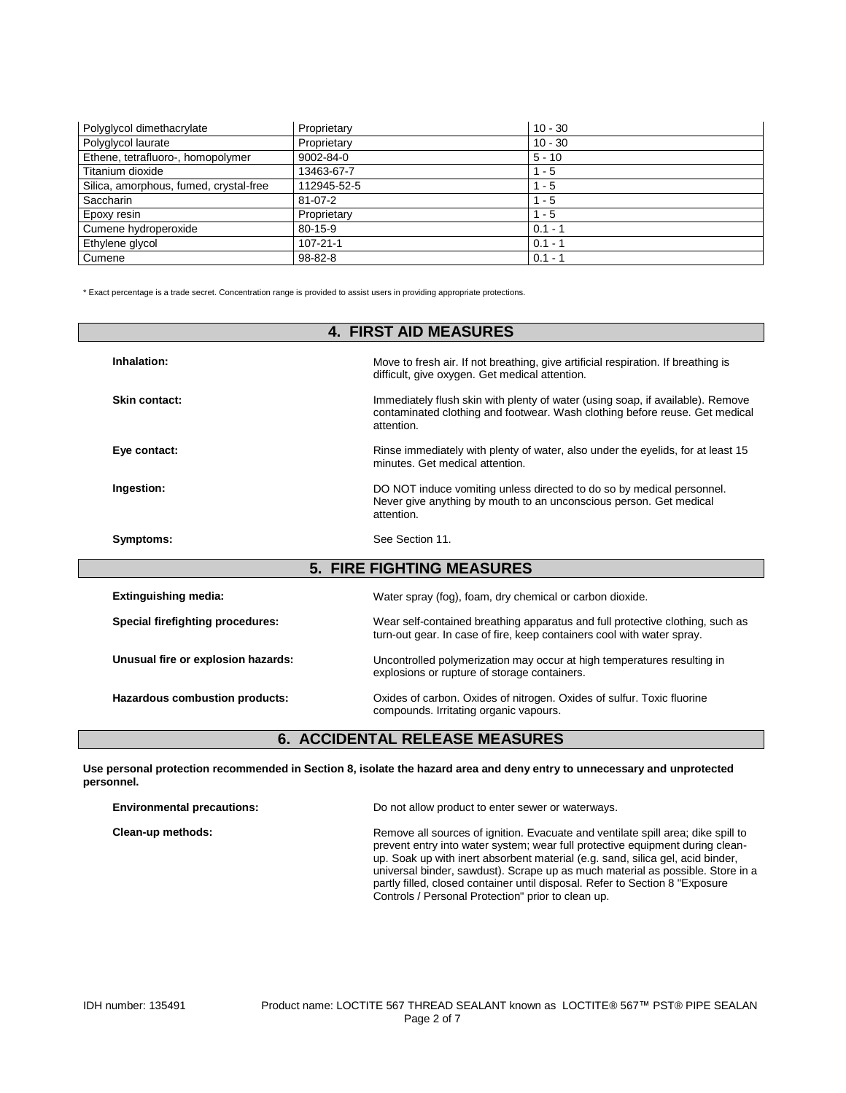| Polyglycol dimethacrylate              | Proprietary     | $10 - 30$ |
|----------------------------------------|-----------------|-----------|
| Polyglycol laurate                     | Proprietary     | $10 - 30$ |
| Ethene, tetrafluoro-, homopolymer      | $9002 - 84 - 0$ | $5 - 10$  |
| Titanium dioxide                       | 13463-67-7      | $1 - 5$   |
| Silica, amorphous, fumed, crystal-free | 112945-52-5     | $1 - 5$   |
| Saccharin                              | $81 - 07 - 2$   | $1 - 5$   |
| Epoxy resin                            | Proprietary     | - 5       |
| Cumene hydroperoxide                   | $80 - 15 - 9$   | $0.1 - 1$ |
| Ethylene glycol                        | 107-21-1        | $0.1 - 1$ |
| Cumene                                 | 98-82-8         | $0.1 - 1$ |

\* Exact percentage is a trade secret. Concentration range is provided to assist users in providing appropriate protections.

| <b>4. FIRST AID MEASURES</b>          |                                                                                                                                                                             |  |  |
|---------------------------------------|-----------------------------------------------------------------------------------------------------------------------------------------------------------------------------|--|--|
| Inhalation:                           | Move to fresh air. If not breathing, give artificial respiration. If breathing is<br>difficult, give oxygen. Get medical attention.                                         |  |  |
| Skin contact:                         | Immediately flush skin with plenty of water (using soap, if available). Remove<br>contaminated clothing and footwear. Wash clothing before reuse. Get medical<br>attention. |  |  |
| Eye contact:                          | Rinse immediately with plenty of water, also under the eyelids, for at least 15<br>minutes. Get medical attention.                                                          |  |  |
| Ingestion:                            | DO NOT induce vomiting unless directed to do so by medical personnel.<br>Never give anything by mouth to an unconscious person. Get medical<br>attention.                   |  |  |
| Symptoms:                             | See Section 11.                                                                                                                                                             |  |  |
| <b>5. FIRE FIGHTING MEASURES</b>      |                                                                                                                                                                             |  |  |
| <b>Extinguishing media:</b>           | Water spray (fog), foam, dry chemical or carbon dioxide.                                                                                                                    |  |  |
| Special firefighting procedures:      | Wear self-contained breathing apparatus and full protective clothing, such as<br>turn-out gear. In case of fire, keep containers cool with water spray.                     |  |  |
| Unusual fire or explosion hazards:    | Uncontrolled polymerization may occur at high temperatures resulting in<br>explosions or rupture of storage containers.                                                     |  |  |
| Hazardous combustion products:        | Oxides of carbon. Oxides of nitrogen. Oxides of sulfur. Toxic fluorine<br>compounds. Irritating organic vapours.                                                            |  |  |
| <b>6. ACCIDENTAL RELEASE MEASURES</b> |                                                                                                                                                                             |  |  |

**Use personal protection recommended in Section 8, isolate the hazard area and deny entry to unnecessary and unprotected personnel.**

| <b>Environmental precautions:</b> | Do not allow product to enter sewer or waterways.                                                                                                                                                                                                                                                                                                                                                                                                                            |  |
|-----------------------------------|------------------------------------------------------------------------------------------------------------------------------------------------------------------------------------------------------------------------------------------------------------------------------------------------------------------------------------------------------------------------------------------------------------------------------------------------------------------------------|--|
| Clean-up methods:                 | Remove all sources of ignition. Evacuate and ventilate spill area; dike spill to<br>prevent entry into water system; wear full protective equipment during clean-<br>up. Soak up with inert absorbent material (e.g. sand, silica gel, acid binder,<br>universal binder, sawdust). Scrape up as much material as possible. Store in a<br>partly filled, closed container until disposal. Refer to Section 8 "Exposure"<br>Controls / Personal Protection" prior to clean up. |  |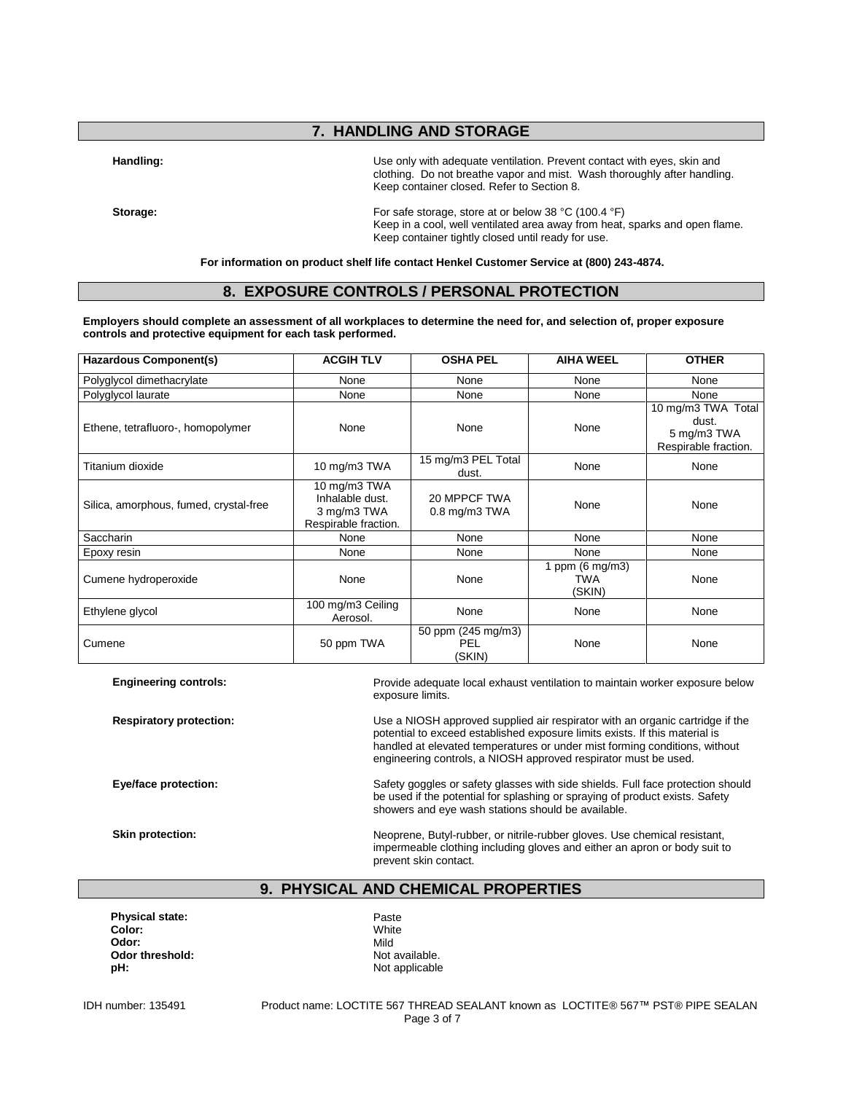## **7. HANDLING AND STORAGE**

Handling: **Handling:** Use only with adequate ventilation. Prevent contact with eyes, skin and clothing. Do not breathe vapor and mist. Wash thoroughly after handling. Keep container closed. Refer to Section 8.

Storage: Storage: For safe storage, store at or below 38 °C (100.4 °F) Keep in a cool, well ventilated area away from heat, sparks and open flame. Keep container tightly closed until ready for use.

**For information on product shelf life contact Henkel Customer Service at (800) 243-4874.**

## **8. EXPOSURE CONTROLS / PERSONAL PROTECTION**

**Employers should complete an assessment of all workplaces to determine the need for, and selection of, proper exposure controls and protective equipment for each task performed.**

| <b>Hazardous Component(s)</b>          | <b>ACGIH TLV</b>                                                       | <b>OSHA PEL</b>                     | <b>AIHA WEEL</b>                           | <b>OTHER</b>                                                       |
|----------------------------------------|------------------------------------------------------------------------|-------------------------------------|--------------------------------------------|--------------------------------------------------------------------|
| Polyglycol dimethacrylate              | None                                                                   | None                                | None                                       | None                                                               |
| Polyglycol laurate                     | None                                                                   | None                                | None                                       | None                                                               |
| Ethene, tetrafluoro-, homopolymer      | None                                                                   | None                                | None                                       | 10 mg/m3 TWA Total<br>dust.<br>5 mg/m3 TWA<br>Respirable fraction. |
| Titanium dioxide                       | 10 mg/m3 TWA                                                           | 15 mg/m3 PEL Total<br>dust.         | None                                       | None                                                               |
| Silica, amorphous, fumed, crystal-free | 10 mg/m3 TWA<br>Inhalable dust.<br>3 mg/m3 TWA<br>Respirable fraction. | 20 MPPCF TWA<br>$0.8$ mg/m $3$ TWA  | None                                       | None                                                               |
| Saccharin                              | None                                                                   | None                                | None                                       | None                                                               |
| Epoxy resin                            | None                                                                   | None                                | None                                       | None                                                               |
| Cumene hydroperoxide                   | None                                                                   | None                                | 1 ppm $(6 \text{ mg/m3})$<br>TWA<br>(SKIN) | None                                                               |
| Ethylene glycol                        | 100 mg/m3 Ceiling<br>Aerosol.                                          | None                                | None                                       | None                                                               |
| Cumene                                 | 50 ppm TWA                                                             | 50 ppm (245 mg/m3)<br>PEL<br>(SKIN) | None                                       | None                                                               |

| <b>Engineering controls:</b>   | Provide adequate local exhaust ventilation to maintain worker exposure below<br>exposure limits.                                                                                                                                                                                                              |
|--------------------------------|---------------------------------------------------------------------------------------------------------------------------------------------------------------------------------------------------------------------------------------------------------------------------------------------------------------|
| <b>Respiratory protection:</b> | Use a NIOSH approved supplied air respirator with an organic cartridge if the<br>potential to exceed established exposure limits exists. If this material is<br>handled at elevated temperatures or under mist forming conditions, without<br>engineering controls, a NIOSH approved respirator must be used. |
| Eye/face protection:           | Safety goggles or safety glasses with side shields. Full face protection should<br>be used if the potential for splashing or spraying of product exists. Safety<br>showers and eye wash stations should be available.                                                                                         |
| Skin protection:               | Neoprene, Butyl-rubber, or nitrile-rubber gloves. Use chemical resistant,<br>impermeable clothing including gloves and either an apron or body suit to<br>prevent skin contact.                                                                                                                               |

## **9. PHYSICAL AND CHEMICAL PROPERTIES**

**Physical state:** Paste Paste<br> **Color:** Paste Polonial Physical Paste Paste Polonial Physical Physical Physical Physical Physical Physical Physical Physical Physical Physical Physical Physical Physical Physical Physical Ph **Color:** White **Odor:** Mild **Odor threshold:** Not available. **pH:** Not applicable

IDH number: 135491 Product name: LOCTITE 567 THREAD SEALANT known as LOCTITE® 567™ PST® PIPE SEALAN Page 3 of 7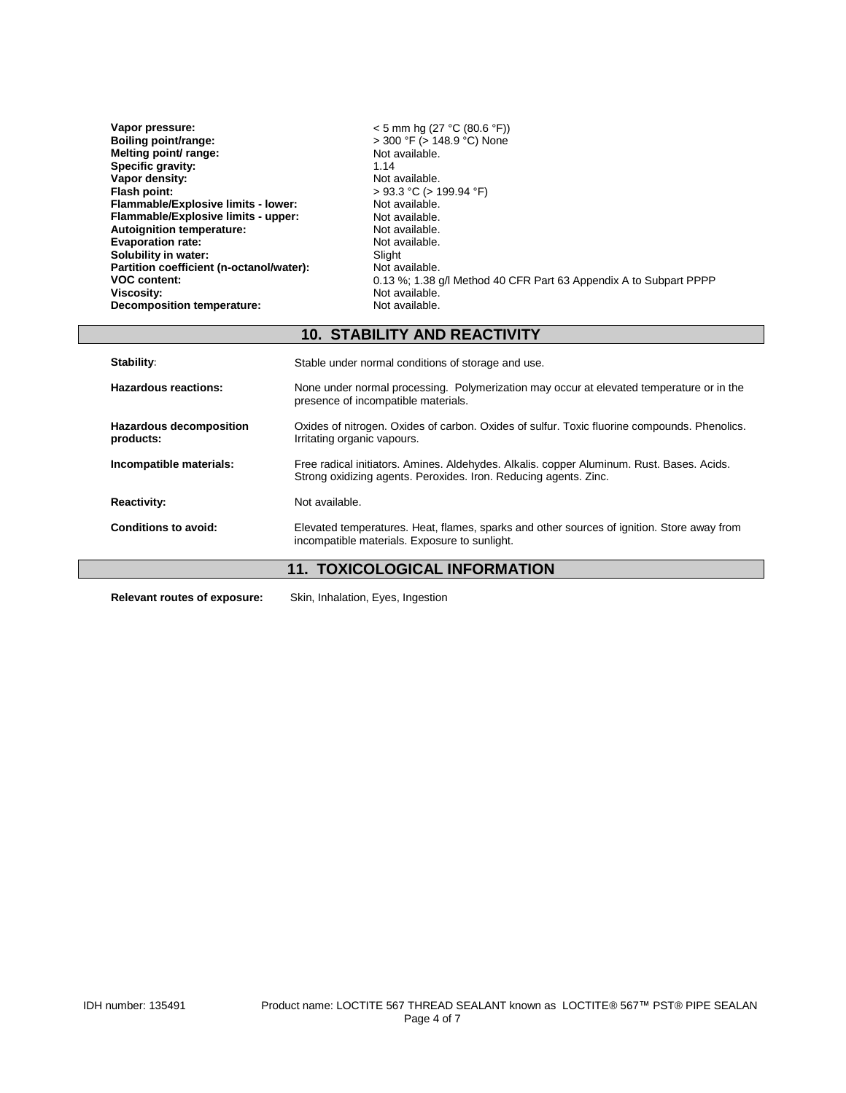| Vapor pressure:                          | $<$ 5 mm hg (27 °C (80.6 °F))                                     |
|------------------------------------------|-------------------------------------------------------------------|
| Boiling point/range:                     | $>$ 300 °F ( $>$ 148.9 °C) None                                   |
| Melting point/ range:                    | Not available.                                                    |
| Specific gravity:                        | 1.14                                                              |
| Vapor density:                           | Not available.                                                    |
| Flash point:                             | $> 93.3$ °C ( $> 199.94$ °F)                                      |
| Flammable/Explosive limits - lower:      | Not available.                                                    |
| Flammable/Explosive limits - upper:      | Not available.                                                    |
| <b>Autoignition temperature:</b>         | Not available.                                                    |
| <b>Evaporation rate:</b>                 | Not available.                                                    |
| Solubility in water:                     | Slight                                                            |
| Partition coefficient (n-octanol/water): | Not available.                                                    |
| <b>VOC content:</b>                      | 0.13 %; 1.38 g/l Method 40 CFR Part 63 Appendix A to Subpart PPPP |
| Viscosity:                               | Not available.                                                    |
| <b>Decomposition temperature:</b>        | Not available.                                                    |

## **10. STABILITY AND REACTIVITY**

| Stability:                                  | Stable under normal conditions of storage and use.                                                                                                            |  |
|---------------------------------------------|---------------------------------------------------------------------------------------------------------------------------------------------------------------|--|
| Hazardous reactions:                        | None under normal processing. Polymerization may occur at elevated temperature or in the<br>presence of incompatible materials.                               |  |
| <b>Hazardous decomposition</b><br>products: | Oxides of nitrogen. Oxides of carbon. Oxides of sulfur. Toxic fluorine compounds. Phenolics.<br>Irritating organic vapours.                                   |  |
| Incompatible materials:                     | Free radical initiators. Amines. Aldehydes. Alkalis. copper Aluminum. Rust. Bases. Acids.<br>Strong oxidizing agents. Peroxides. Iron. Reducing agents. Zinc. |  |
| <b>Reactivity:</b>                          | Not available.                                                                                                                                                |  |
| Conditions to avoid:                        | Elevated temperatures. Heat, flames, sparks and other sources of ignition. Store away from<br>incompatible materials. Exposure to sunlight.                   |  |
| <b>11. TOXICOLOGICAL INFORMATION</b>        |                                                                                                                                                               |  |
| <b>Relevant routes of exposure:</b>         | Skin, Inhalation, Eyes, Ingestion                                                                                                                             |  |

 $\Box$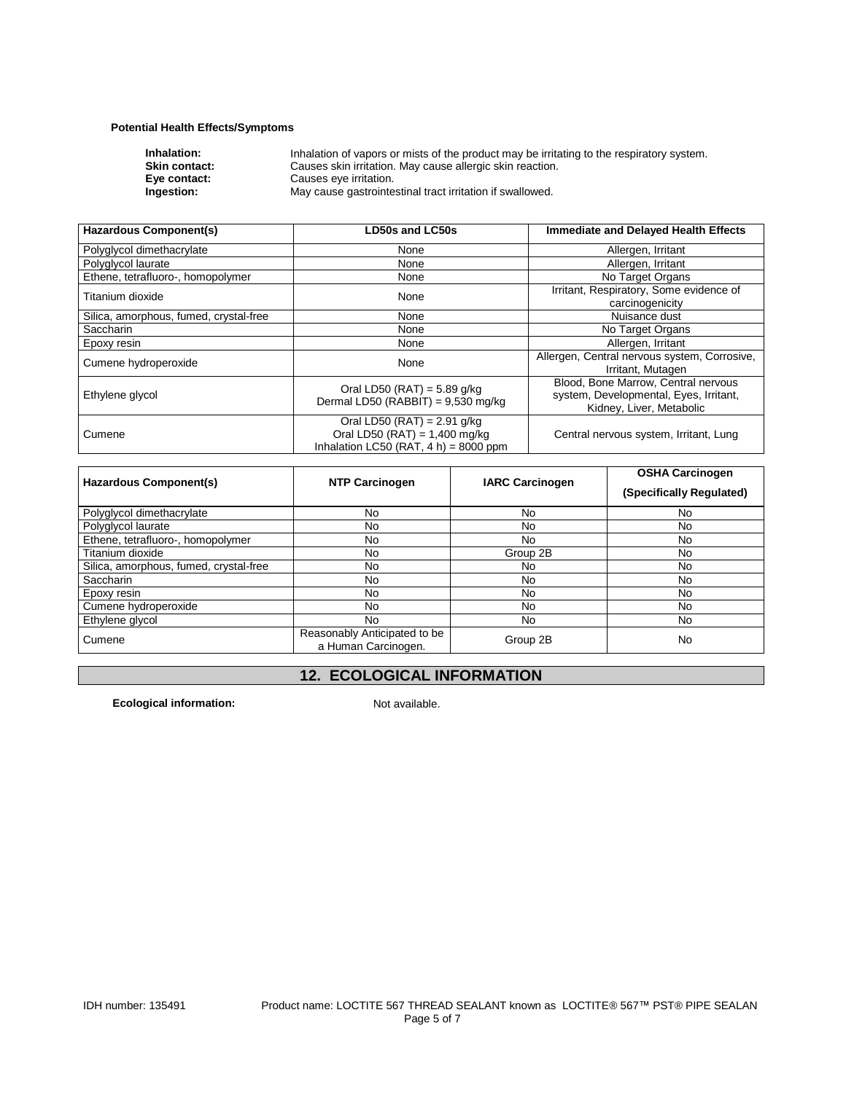## **Potential Health Effects/Symptoms**

| Inhalation of vapors or mists of the product may be irritating to the respiratory system. |
|-------------------------------------------------------------------------------------------|
| Causes skin irritation. May cause allergic skin reaction.                                 |
| Causes eye irritation.                                                                    |
| May cause gastrointestinal tract irritation if swallowed.                                 |
|                                                                                           |

| <b>Hazardous Component(s)</b>          | <b>LD50s and LC50s</b>                                                                                       | <b>Immediate and Delayed Health Effects</b>                                                               |
|----------------------------------------|--------------------------------------------------------------------------------------------------------------|-----------------------------------------------------------------------------------------------------------|
| Polyglycol dimethacrylate              | None                                                                                                         | Allergen, Irritant                                                                                        |
| Polyglycol laurate                     | None                                                                                                         | Allergen, Irritant                                                                                        |
| Ethene, tetrafluoro-, homopolymer      | None                                                                                                         | No Target Organs                                                                                          |
| Titanium dioxide                       | None                                                                                                         | Irritant, Respiratory, Some evidence of<br>carcinogenicity                                                |
| Silica, amorphous, fumed, crystal-free | None                                                                                                         | Nuisance dust                                                                                             |
| <b>Saccharin</b>                       | None                                                                                                         | No Target Organs                                                                                          |
| Epoxy resin                            | None                                                                                                         | Allergen, Irritant                                                                                        |
| Cumene hydroperoxide                   | None                                                                                                         | Allergen, Central nervous system, Corrosive,<br>Irritant, Mutagen                                         |
| Ethylene glycol                        | Oral LD50 (RAT) = $5.89$ g/kg<br>Dermal LD50 (RABBIT) = $9,530$ mg/kg                                        | Blood, Bone Marrow, Central nervous<br>system, Developmental, Eyes, Irritant,<br>Kidney, Liver, Metabolic |
| Cumene                                 | Oral LD50 (RAT) = $2.91$ g/kg<br>Oral LD50 (RAT) = $1,400$ mg/kg<br>Inhalation LC50 (RAT, $4 h$ ) = 8000 ppm | Central nervous system, Irritant, Lung                                                                    |

| <b>Hazardous Component(s)</b>          | <b>NTP Carcinogen</b>                               | <b>IARC Carcinogen</b> | <b>OSHA Carcinogen</b><br>(Specifically Regulated) |
|----------------------------------------|-----------------------------------------------------|------------------------|----------------------------------------------------|
| Polyglycol dimethacrylate              | No.                                                 | No                     | No.                                                |
| Polyglycol laurate                     | No.                                                 | No                     | No.                                                |
| Ethene, tetrafluoro-, homopolymer      | No.                                                 | No                     | No.                                                |
| Titanium dioxide                       | No                                                  | Group 2B               | No                                                 |
| Silica, amorphous, fumed, crystal-free | No.                                                 | No                     | No.                                                |
| Saccharin                              | No                                                  | No                     | <b>No</b>                                          |
| Epoxy resin                            | No.                                                 | No                     | No.                                                |
| Cumene hydroperoxide                   | No.                                                 | No                     | <b>No</b>                                          |
| Ethylene glycol                        | No.                                                 | No                     | No.                                                |
| Cumene                                 | Reasonably Anticipated to be<br>a Human Carcinogen. | Group 2B               | No                                                 |

## **12. ECOLOGICAL INFORMATION**

**Ecological information:** Not available.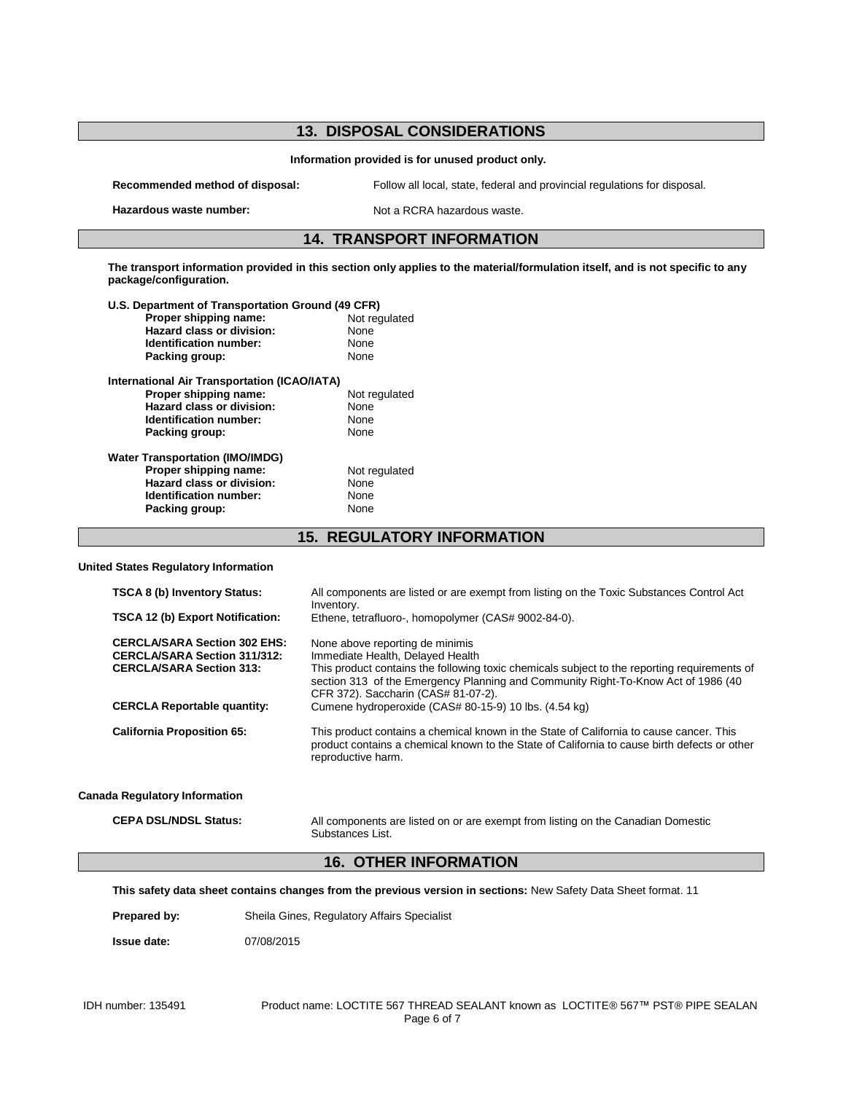# **13. DISPOSAL CONSIDERATIONS Information provided is for unused product only. Recommended method of disposal:** Follow all local, state, federal and provincial regulations for disposal. **Hazardous waste number:** Not a RCRA hazardous waste. **14. TRANSPORT INFORMATION The transport information provided in this section only applies to the material/formulation itself, and is not specific to any package/configuration. U.S. Department of Transportation Ground (49 CFR) Proper shipping name:** Not regulated a Not regulated a Not regulated a Not regulated a None **Hazard class or division:** None<br> **Identification number:** None **Identification number:** Packing group: None **International Air Transportation (ICAO/IATA) Proper shipping name:** Not regulated **Hazard class or division:** None<br> **Identification number:** None **Identification number:** None<br> **Packing group:** None **Packing group: Water Transportation (IMO/IMDG) Proper shipping name:** Not regulated **Hazard class or division:** None<br> **Identification number:** None **Identification number:** Packing group: None **15. REGULATORY INFORMATION United States Regulatory Information**

| <b>TSCA 8 (b) Inventory Status:</b>                                                                           | All components are listed or are exempt from listing on the Toxic Substances Control Act                                                                                                                                                                 |  |  |
|---------------------------------------------------------------------------------------------------------------|----------------------------------------------------------------------------------------------------------------------------------------------------------------------------------------------------------------------------------------------------------|--|--|
|                                                                                                               | Inventory.                                                                                                                                                                                                                                               |  |  |
| TSCA 12 (b) Export Notification:                                                                              | Ethene, tetrafluoro-, homopolymer (CAS# 9002-84-0).                                                                                                                                                                                                      |  |  |
| <b>CERCLA/SARA Section 302 EHS:</b><br><b>CERCLA/SARA Section 311/312:</b><br><b>CERCLA/SARA Section 313:</b> | None above reporting de minimis<br>Immediate Health, Delayed Health<br>This product contains the following toxic chemicals subject to the reporting requirements of<br>section 313 of the Emergency Planning and Community Right-To-Know Act of 1986 (40 |  |  |
| <b>CERCLA Reportable quantity:</b>                                                                            | CFR 372). Saccharin (CAS# 81-07-2).<br>Cumene hydroperoxide (CAS# 80-15-9) 10 lbs. (4.54 kg)                                                                                                                                                             |  |  |
| <b>California Proposition 65:</b>                                                                             | This product contains a chemical known in the State of California to cause cancer. This<br>product contains a chemical known to the State of California to cause birth defects or other<br>reproductive harm.                                            |  |  |
| <b>Canada Regulatory Information</b>                                                                          |                                                                                                                                                                                                                                                          |  |  |
| <b>CEPA DSL/NDSL Status:</b>                                                                                  | All components are listed on or are exempt from listing on the Canadian Domestic<br>Substances List.                                                                                                                                                     |  |  |
| <b>16. OTHER INFORMATION</b>                                                                                  |                                                                                                                                                                                                                                                          |  |  |

**This safety data sheet contains changes from the previous version in sections:** New Safety Data Sheet format. 11

Prepared by: Sheila Gines, Regulatory Affairs Specialist

**Issue date:** 07/08/2015